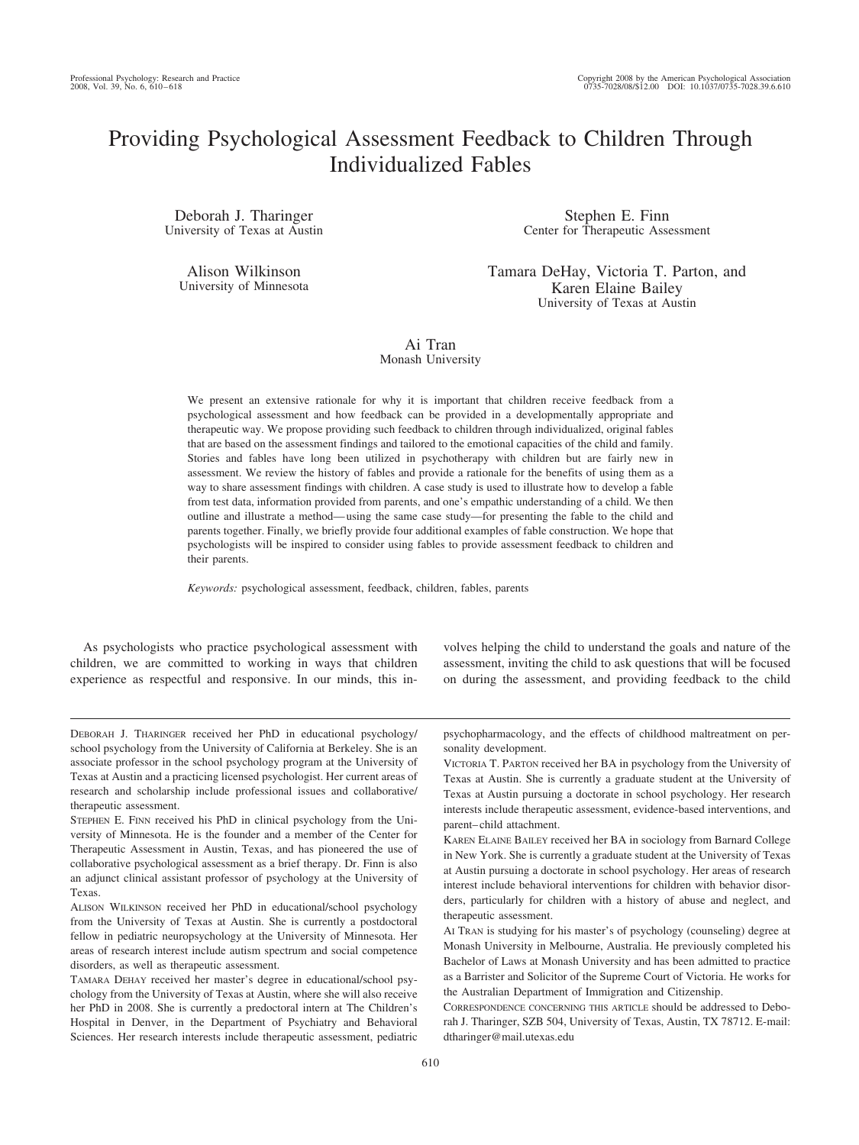# Providing Psychological Assessment Feedback to Children Through Individualized Fables

Deborah J. Tharinger University of Texas at Austin

Alison Wilkinson University of Minnesota

Stephen E. Finn Center for Therapeutic Assessment

Tamara DeHay, Victoria T. Parton, and Karen Elaine Bailey University of Texas at Austin

Ai Tran Monash University

We present an extensive rationale for why it is important that children receive feedback from a psychological assessment and how feedback can be provided in a developmentally appropriate and therapeutic way. We propose providing such feedback to children through individualized, original fables that are based on the assessment findings and tailored to the emotional capacities of the child and family. Stories and fables have long been utilized in psychotherapy with children but are fairly new in assessment. We review the history of fables and provide a rationale for the benefits of using them as a way to share assessment findings with children. A case study is used to illustrate how to develop a fable from test data, information provided from parents, and one's empathic understanding of a child. We then outline and illustrate a method— using the same case study—for presenting the fable to the child and parents together. Finally, we briefly provide four additional examples of fable construction. We hope that psychologists will be inspired to consider using fables to provide assessment feedback to children and their parents.

*Keywords:* psychological assessment, feedback, children, fables, parents

As psychologists who practice psychological assessment with children, we are committed to working in ways that children experience as respectful and responsive. In our minds, this involves helping the child to understand the goals and nature of the assessment, inviting the child to ask questions that will be focused on during the assessment, and providing feedback to the child

DEBORAH J. THARINGER received her PhD in educational psychology/ school psychology from the University of California at Berkeley. She is an associate professor in the school psychology program at the University of Texas at Austin and a practicing licensed psychologist. Her current areas of research and scholarship include professional issues and collaborative/ therapeutic assessment.

STEPHEN E. FINN received his PhD in clinical psychology from the University of Minnesota. He is the founder and a member of the Center for Therapeutic Assessment in Austin, Texas, and has pioneered the use of collaborative psychological assessment as a brief therapy. Dr. Finn is also an adjunct clinical assistant professor of psychology at the University of Texas.

ALISON WILKINSON received her PhD in educational/school psychology from the University of Texas at Austin. She is currently a postdoctoral fellow in pediatric neuropsychology at the University of Minnesota. Her areas of research interest include autism spectrum and social competence disorders, as well as therapeutic assessment.

TAMARA DEHAY received her master's degree in educational/school psychology from the University of Texas at Austin, where she will also receive her PhD in 2008. She is currently a predoctoral intern at The Children's Hospital in Denver, in the Department of Psychiatry and Behavioral Sciences. Her research interests include therapeutic assessment, pediatric psychopharmacology, and the effects of childhood maltreatment on personality development.

VICTORIA T. PARTON received her BA in psychology from the University of Texas at Austin. She is currently a graduate student at the University of Texas at Austin pursuing a doctorate in school psychology. Her research interests include therapeutic assessment, evidence-based interventions, and parent– child attachment.

KAREN ELAINE BAILEY received her BA in sociology from Barnard College in New York. She is currently a graduate student at the University of Texas at Austin pursuing a doctorate in school psychology. Her areas of research interest include behavioral interventions for children with behavior disorders, particularly for children with a history of abuse and neglect, and therapeutic assessment.

AI TRAN is studying for his master's of psychology (counseling) degree at Monash University in Melbourne, Australia. He previously completed his Bachelor of Laws at Monash University and has been admitted to practice as a Barrister and Solicitor of the Supreme Court of Victoria. He works for the Australian Department of Immigration and Citizenship.

CORRESPONDENCE CONCERNING THIS ARTICLE should be addressed to Deborah J. Tharinger, SZB 504, University of Texas, Austin, TX 78712. E-mail: dtharinger@mail.utexas.edu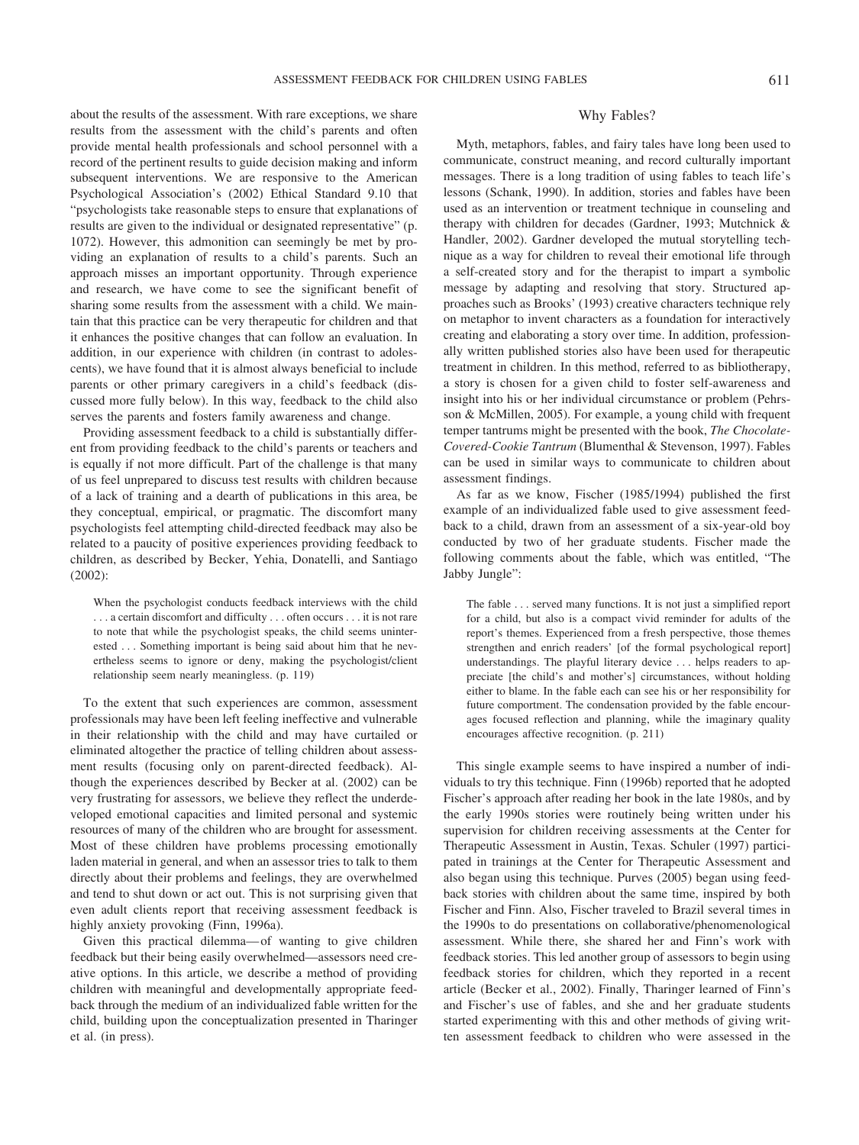about the results of the assessment. With rare exceptions, we share results from the assessment with the child's parents and often provide mental health professionals and school personnel with a record of the pertinent results to guide decision making and inform subsequent interventions. We are responsive to the American Psychological Association's (2002) Ethical Standard 9.10 that "psychologists take reasonable steps to ensure that explanations of results are given to the individual or designated representative" (p. 1072). However, this admonition can seemingly be met by providing an explanation of results to a child's parents. Such an approach misses an important opportunity. Through experience and research, we have come to see the significant benefit of sharing some results from the assessment with a child. We maintain that this practice can be very therapeutic for children and that it enhances the positive changes that can follow an evaluation. In addition, in our experience with children (in contrast to adolescents), we have found that it is almost always beneficial to include parents or other primary caregivers in a child's feedback (discussed more fully below). In this way, feedback to the child also serves the parents and fosters family awareness and change.

Providing assessment feedback to a child is substantially different from providing feedback to the child's parents or teachers and is equally if not more difficult. Part of the challenge is that many of us feel unprepared to discuss test results with children because of a lack of training and a dearth of publications in this area, be they conceptual, empirical, or pragmatic. The discomfort many psychologists feel attempting child-directed feedback may also be related to a paucity of positive experiences providing feedback to children, as described by Becker, Yehia, Donatelli, and Santiago (2002):

When the psychologist conducts feedback interviews with the child . . . a certain discomfort and difficulty . . . often occurs . . . it is not rare to note that while the psychologist speaks, the child seems uninterested . . . Something important is being said about him that he nevertheless seems to ignore or deny, making the psychologist/client relationship seem nearly meaningless. (p. 119)

To the extent that such experiences are common, assessment professionals may have been left feeling ineffective and vulnerable in their relationship with the child and may have curtailed or eliminated altogether the practice of telling children about assessment results (focusing only on parent-directed feedback). Although the experiences described by Becker at al. (2002) can be very frustrating for assessors, we believe they reflect the underdeveloped emotional capacities and limited personal and systemic resources of many of the children who are brought for assessment. Most of these children have problems processing emotionally laden material in general, and when an assessor tries to talk to them directly about their problems and feelings, they are overwhelmed and tend to shut down or act out. This is not surprising given that even adult clients report that receiving assessment feedback is highly anxiety provoking (Finn, 1996a).

Given this practical dilemma— of wanting to give children feedback but their being easily overwhelmed—assessors need creative options. In this article, we describe a method of providing children with meaningful and developmentally appropriate feedback through the medium of an individualized fable written for the child, building upon the conceptualization presented in Tharinger et al. (in press).

#### Why Fables?

Myth, metaphors, fables, and fairy tales have long been used to communicate, construct meaning, and record culturally important messages. There is a long tradition of using fables to teach life's lessons (Schank, 1990). In addition, stories and fables have been used as an intervention or treatment technique in counseling and therapy with children for decades (Gardner, 1993; Mutchnick & Handler, 2002). Gardner developed the mutual storytelling technique as a way for children to reveal their emotional life through a self-created story and for the therapist to impart a symbolic message by adapting and resolving that story. Structured approaches such as Brooks' (1993) creative characters technique rely on metaphor to invent characters as a foundation for interactively creating and elaborating a story over time. In addition, professionally written published stories also have been used for therapeutic treatment in children. In this method, referred to as bibliotherapy, a story is chosen for a given child to foster self-awareness and insight into his or her individual circumstance or problem (Pehrsson & McMillen, 2005). For example, a young child with frequent temper tantrums might be presented with the book, *The Chocolate-Covered-Cookie Tantrum* (Blumenthal & Stevenson, 1997). Fables can be used in similar ways to communicate to children about assessment findings.

As far as we know, Fischer (1985/1994) published the first example of an individualized fable used to give assessment feedback to a child, drawn from an assessment of a six-year-old boy conducted by two of her graduate students. Fischer made the following comments about the fable, which was entitled, "The Jabby Jungle":

The fable . . . served many functions. It is not just a simplified report for a child, but also is a compact vivid reminder for adults of the report's themes. Experienced from a fresh perspective, those themes strengthen and enrich readers' [of the formal psychological report] understandings. The playful literary device . . . helps readers to appreciate [the child's and mother's] circumstances, without holding either to blame. In the fable each can see his or her responsibility for future comportment. The condensation provided by the fable encourages focused reflection and planning, while the imaginary quality encourages affective recognition. (p. 211)

This single example seems to have inspired a number of individuals to try this technique. Finn (1996b) reported that he adopted Fischer's approach after reading her book in the late 1980s, and by the early 1990s stories were routinely being written under his supervision for children receiving assessments at the Center for Therapeutic Assessment in Austin, Texas. Schuler (1997) participated in trainings at the Center for Therapeutic Assessment and also began using this technique. Purves (2005) began using feedback stories with children about the same time, inspired by both Fischer and Finn. Also, Fischer traveled to Brazil several times in the 1990s to do presentations on collaborative/phenomenological assessment. While there, she shared her and Finn's work with feedback stories. This led another group of assessors to begin using feedback stories for children, which they reported in a recent article (Becker et al., 2002). Finally, Tharinger learned of Finn's and Fischer's use of fables, and she and her graduate students started experimenting with this and other methods of giving written assessment feedback to children who were assessed in the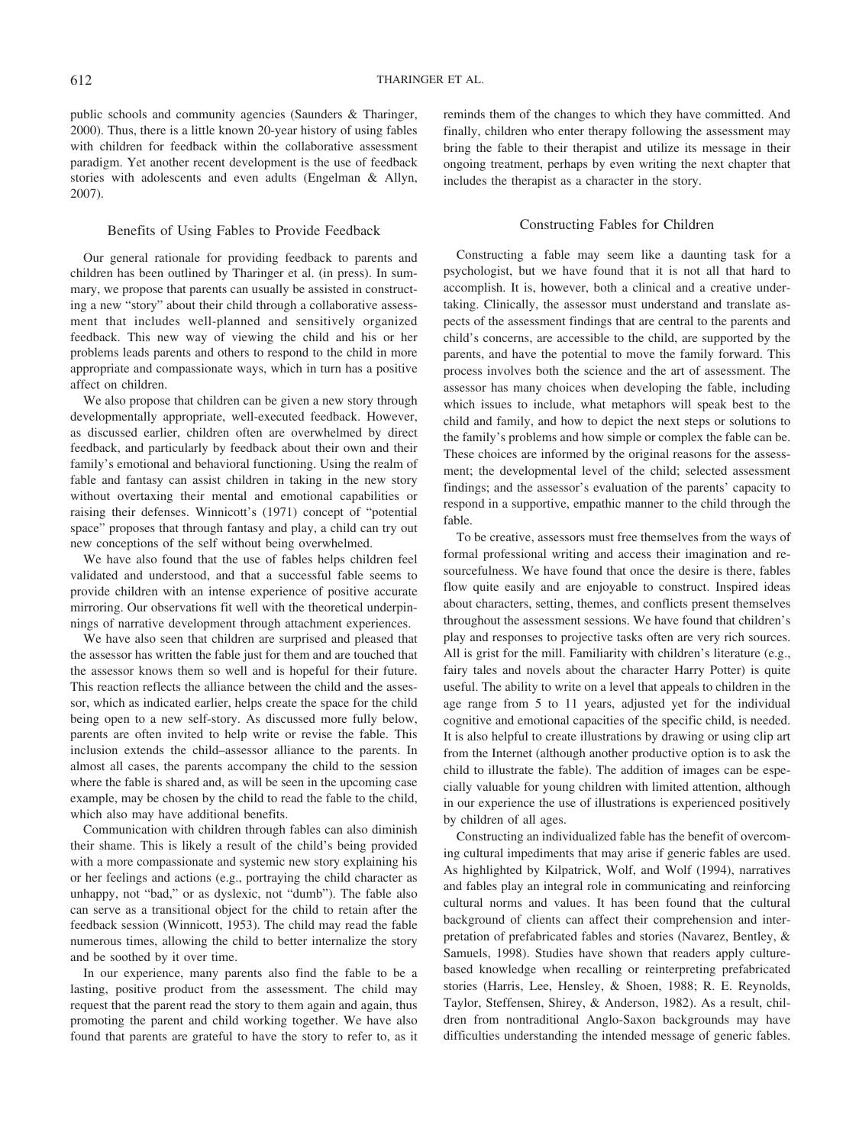public schools and community agencies (Saunders & Tharinger, 2000). Thus, there is a little known 20-year history of using fables with children for feedback within the collaborative assessment paradigm. Yet another recent development is the use of feedback stories with adolescents and even adults (Engelman & Allyn, 2007).

#### Benefits of Using Fables to Provide Feedback

Our general rationale for providing feedback to parents and children has been outlined by Tharinger et al. (in press). In summary, we propose that parents can usually be assisted in constructing a new "story" about their child through a collaborative assessment that includes well-planned and sensitively organized feedback. This new way of viewing the child and his or her problems leads parents and others to respond to the child in more appropriate and compassionate ways, which in turn has a positive affect on children.

We also propose that children can be given a new story through developmentally appropriate, well-executed feedback. However, as discussed earlier, children often are overwhelmed by direct feedback, and particularly by feedback about their own and their family's emotional and behavioral functioning. Using the realm of fable and fantasy can assist children in taking in the new story without overtaxing their mental and emotional capabilities or raising their defenses. Winnicott's (1971) concept of "potential space" proposes that through fantasy and play, a child can try out new conceptions of the self without being overwhelmed.

We have also found that the use of fables helps children feel validated and understood, and that a successful fable seems to provide children with an intense experience of positive accurate mirroring. Our observations fit well with the theoretical underpinnings of narrative development through attachment experiences.

We have also seen that children are surprised and pleased that the assessor has written the fable just for them and are touched that the assessor knows them so well and is hopeful for their future. This reaction reflects the alliance between the child and the assessor, which as indicated earlier, helps create the space for the child being open to a new self-story. As discussed more fully below, parents are often invited to help write or revise the fable. This inclusion extends the child–assessor alliance to the parents. In almost all cases, the parents accompany the child to the session where the fable is shared and, as will be seen in the upcoming case example, may be chosen by the child to read the fable to the child, which also may have additional benefits.

Communication with children through fables can also diminish their shame. This is likely a result of the child's being provided with a more compassionate and systemic new story explaining his or her feelings and actions (e.g., portraying the child character as unhappy, not "bad," or as dyslexic, not "dumb"). The fable also can serve as a transitional object for the child to retain after the feedback session (Winnicott, 1953). The child may read the fable numerous times, allowing the child to better internalize the story and be soothed by it over time.

In our experience, many parents also find the fable to be a lasting, positive product from the assessment. The child may request that the parent read the story to them again and again, thus promoting the parent and child working together. We have also found that parents are grateful to have the story to refer to, as it reminds them of the changes to which they have committed. And finally, children who enter therapy following the assessment may bring the fable to their therapist and utilize its message in their ongoing treatment, perhaps by even writing the next chapter that includes the therapist as a character in the story.

#### Constructing Fables for Children

Constructing a fable may seem like a daunting task for a psychologist, but we have found that it is not all that hard to accomplish. It is, however, both a clinical and a creative undertaking. Clinically, the assessor must understand and translate aspects of the assessment findings that are central to the parents and child's concerns, are accessible to the child, are supported by the parents, and have the potential to move the family forward. This process involves both the science and the art of assessment. The assessor has many choices when developing the fable, including which issues to include, what metaphors will speak best to the child and family, and how to depict the next steps or solutions to the family's problems and how simple or complex the fable can be. These choices are informed by the original reasons for the assessment; the developmental level of the child; selected assessment findings; and the assessor's evaluation of the parents' capacity to respond in a supportive, empathic manner to the child through the fable.

To be creative, assessors must free themselves from the ways of formal professional writing and access their imagination and resourcefulness. We have found that once the desire is there, fables flow quite easily and are enjoyable to construct. Inspired ideas about characters, setting, themes, and conflicts present themselves throughout the assessment sessions. We have found that children's play and responses to projective tasks often are very rich sources. All is grist for the mill. Familiarity with children's literature (e.g., fairy tales and novels about the character Harry Potter) is quite useful. The ability to write on a level that appeals to children in the age range from 5 to 11 years, adjusted yet for the individual cognitive and emotional capacities of the specific child, is needed. It is also helpful to create illustrations by drawing or using clip art from the Internet (although another productive option is to ask the child to illustrate the fable). The addition of images can be especially valuable for young children with limited attention, although in our experience the use of illustrations is experienced positively by children of all ages.

Constructing an individualized fable has the benefit of overcoming cultural impediments that may arise if generic fables are used. As highlighted by Kilpatrick, Wolf, and Wolf (1994), narratives and fables play an integral role in communicating and reinforcing cultural norms and values. It has been found that the cultural background of clients can affect their comprehension and interpretation of prefabricated fables and stories (Navarez, Bentley, & Samuels, 1998). Studies have shown that readers apply culturebased knowledge when recalling or reinterpreting prefabricated stories (Harris, Lee, Hensley, & Shoen, 1988; R. E. Reynolds, Taylor, Steffensen, Shirey, & Anderson, 1982). As a result, children from nontraditional Anglo-Saxon backgrounds may have difficulties understanding the intended message of generic fables.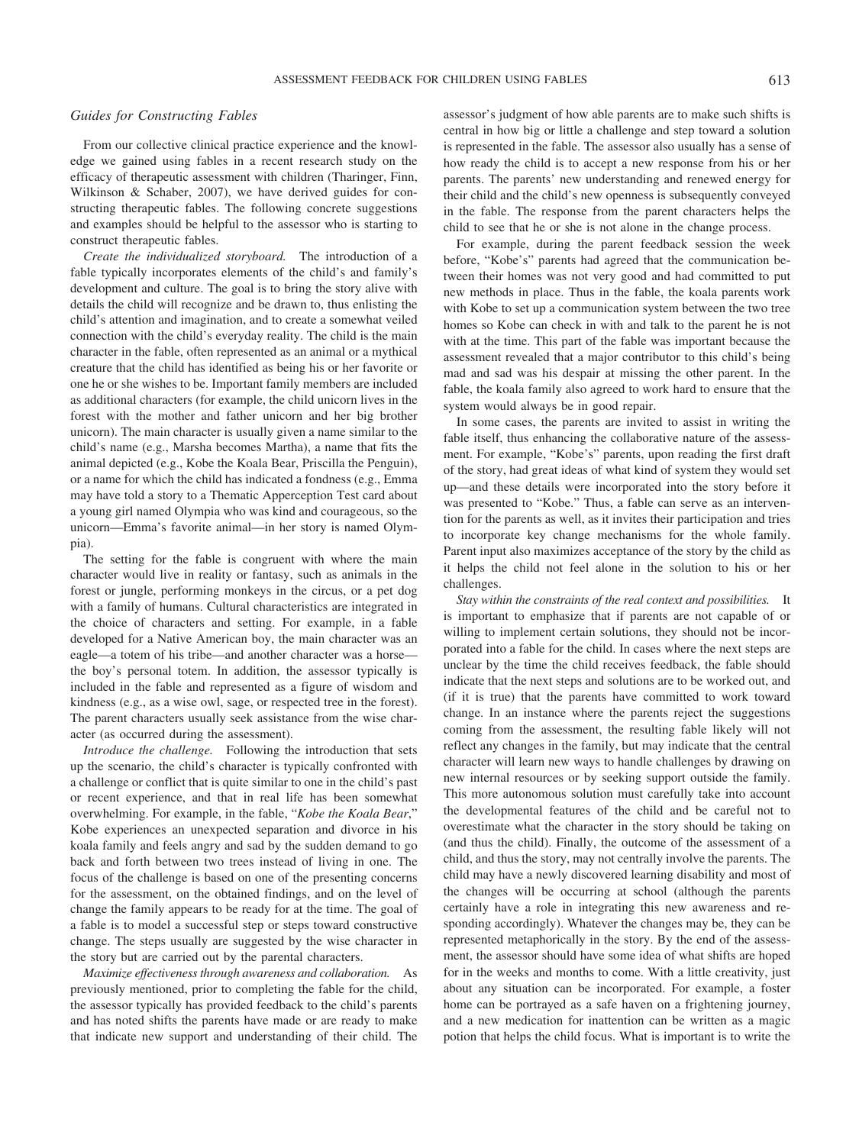#### ASSESSMENT FEEDBACK FOR CHILDREN USING FABLES 613

#### *Guides for Constructing Fables*

From our collective clinical practice experience and the knowledge we gained using fables in a recent research study on the efficacy of therapeutic assessment with children (Tharinger, Finn, Wilkinson & Schaber, 2007), we have derived guides for constructing therapeutic fables. The following concrete suggestions and examples should be helpful to the assessor who is starting to construct therapeutic fables.

*Create the individualized storyboard.* The introduction of a fable typically incorporates elements of the child's and family's development and culture. The goal is to bring the story alive with details the child will recognize and be drawn to, thus enlisting the child's attention and imagination, and to create a somewhat veiled connection with the child's everyday reality. The child is the main character in the fable, often represented as an animal or a mythical creature that the child has identified as being his or her favorite or one he or she wishes to be. Important family members are included as additional characters (for example, the child unicorn lives in the forest with the mother and father unicorn and her big brother unicorn). The main character is usually given a name similar to the child's name (e.g., Marsha becomes Martha), a name that fits the animal depicted (e.g., Kobe the Koala Bear, Priscilla the Penguin), or a name for which the child has indicated a fondness (e.g., Emma may have told a story to a Thematic Apperception Test card about a young girl named Olympia who was kind and courageous, so the unicorn—Emma's favorite animal—in her story is named Olympia).

The setting for the fable is congruent with where the main character would live in reality or fantasy, such as animals in the forest or jungle, performing monkeys in the circus, or a pet dog with a family of humans. Cultural characteristics are integrated in the choice of characters and setting. For example, in a fable developed for a Native American boy, the main character was an eagle—a totem of his tribe—and another character was a horse the boy's personal totem. In addition, the assessor typically is included in the fable and represented as a figure of wisdom and kindness (e.g., as a wise owl, sage, or respected tree in the forest). The parent characters usually seek assistance from the wise character (as occurred during the assessment).

*Introduce the challenge.* Following the introduction that sets up the scenario, the child's character is typically confronted with a challenge or conflict that is quite similar to one in the child's past or recent experience, and that in real life has been somewhat overwhelming. For example, in the fable, "*Kobe the Koala Bear*," Kobe experiences an unexpected separation and divorce in his koala family and feels angry and sad by the sudden demand to go back and forth between two trees instead of living in one. The focus of the challenge is based on one of the presenting concerns for the assessment, on the obtained findings, and on the level of change the family appears to be ready for at the time. The goal of a fable is to model a successful step or steps toward constructive change. The steps usually are suggested by the wise character in the story but are carried out by the parental characters.

*Maximize effectiveness through awareness and collaboration.* As previously mentioned, prior to completing the fable for the child, the assessor typically has provided feedback to the child's parents and has noted shifts the parents have made or are ready to make that indicate new support and understanding of their child. The assessor's judgment of how able parents are to make such shifts is central in how big or little a challenge and step toward a solution is represented in the fable. The assessor also usually has a sense of how ready the child is to accept a new response from his or her parents. The parents' new understanding and renewed energy for their child and the child's new openness is subsequently conveyed in the fable. The response from the parent characters helps the child to see that he or she is not alone in the change process.

For example, during the parent feedback session the week before, "Kobe's" parents had agreed that the communication between their homes was not very good and had committed to put new methods in place. Thus in the fable, the koala parents work with Kobe to set up a communication system between the two tree homes so Kobe can check in with and talk to the parent he is not with at the time. This part of the fable was important because the assessment revealed that a major contributor to this child's being mad and sad was his despair at missing the other parent. In the fable, the koala family also agreed to work hard to ensure that the system would always be in good repair.

In some cases, the parents are invited to assist in writing the fable itself, thus enhancing the collaborative nature of the assessment. For example, "Kobe's" parents, upon reading the first draft of the story, had great ideas of what kind of system they would set up—and these details were incorporated into the story before it was presented to "Kobe." Thus, a fable can serve as an intervention for the parents as well, as it invites their participation and tries to incorporate key change mechanisms for the whole family. Parent input also maximizes acceptance of the story by the child as it helps the child not feel alone in the solution to his or her challenges.

*Stay within the constraints of the real context and possibilities.* It is important to emphasize that if parents are not capable of or willing to implement certain solutions, they should not be incorporated into a fable for the child. In cases where the next steps are unclear by the time the child receives feedback, the fable should indicate that the next steps and solutions are to be worked out, and (if it is true) that the parents have committed to work toward change. In an instance where the parents reject the suggestions coming from the assessment, the resulting fable likely will not reflect any changes in the family, but may indicate that the central character will learn new ways to handle challenges by drawing on new internal resources or by seeking support outside the family. This more autonomous solution must carefully take into account the developmental features of the child and be careful not to overestimate what the character in the story should be taking on (and thus the child). Finally, the outcome of the assessment of a child, and thus the story, may not centrally involve the parents. The child may have a newly discovered learning disability and most of the changes will be occurring at school (although the parents certainly have a role in integrating this new awareness and responding accordingly). Whatever the changes may be, they can be represented metaphorically in the story. By the end of the assessment, the assessor should have some idea of what shifts are hoped for in the weeks and months to come. With a little creativity, just about any situation can be incorporated. For example, a foster home can be portrayed as a safe haven on a frightening journey, and a new medication for inattention can be written as a magic potion that helps the child focus. What is important is to write the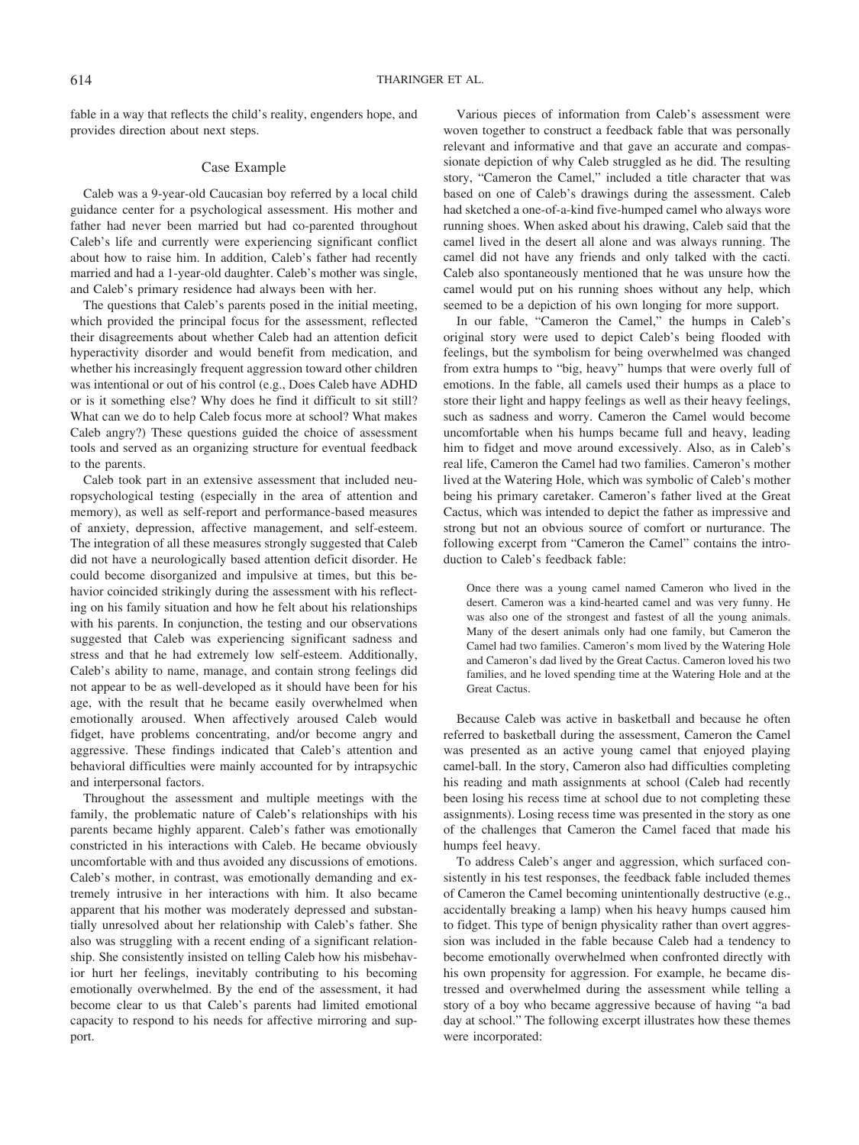fable in a way that reflects the child's reality, engenders hope, and provides direction about next steps.

#### Case Example

Caleb was a 9-year-old Caucasian boy referred by a local child guidance center for a psychological assessment. His mother and father had never been married but had co-parented throughout Caleb's life and currently were experiencing significant conflict about how to raise him. In addition, Caleb's father had recently married and had a 1-year-old daughter. Caleb's mother was single, and Caleb's primary residence had always been with her.

The questions that Caleb's parents posed in the initial meeting, which provided the principal focus for the assessment, reflected their disagreements about whether Caleb had an attention deficit hyperactivity disorder and would benefit from medication, and whether his increasingly frequent aggression toward other children was intentional or out of his control (e.g., Does Caleb have ADHD or is it something else? Why does he find it difficult to sit still? What can we do to help Caleb focus more at school? What makes Caleb angry?) These questions guided the choice of assessment tools and served as an organizing structure for eventual feedback to the parents.

Caleb took part in an extensive assessment that included neuropsychological testing (especially in the area of attention and memory), as well as self-report and performance-based measures of anxiety, depression, affective management, and self-esteem. The integration of all these measures strongly suggested that Caleb did not have a neurologically based attention deficit disorder. He could become disorganized and impulsive at times, but this behavior coincided strikingly during the assessment with his reflecting on his family situation and how he felt about his relationships with his parents. In conjunction, the testing and our observations suggested that Caleb was experiencing significant sadness and stress and that he had extremely low self-esteem. Additionally, Caleb's ability to name, manage, and contain strong feelings did not appear to be as well-developed as it should have been for his age, with the result that he became easily overwhelmed when emotionally aroused. When affectively aroused Caleb would fidget, have problems concentrating, and/or become angry and aggressive. These findings indicated that Caleb's attention and behavioral difficulties were mainly accounted for by intrapsychic and interpersonal factors.

Throughout the assessment and multiple meetings with the family, the problematic nature of Caleb's relationships with his parents became highly apparent. Caleb's father was emotionally constricted in his interactions with Caleb. He became obviously uncomfortable with and thus avoided any discussions of emotions. Caleb's mother, in contrast, was emotionally demanding and extremely intrusive in her interactions with him. It also became apparent that his mother was moderately depressed and substantially unresolved about her relationship with Caleb's father. She also was struggling with a recent ending of a significant relationship. She consistently insisted on telling Caleb how his misbehavior hurt her feelings, inevitably contributing to his becoming emotionally overwhelmed. By the end of the assessment, it had become clear to us that Caleb's parents had limited emotional capacity to respond to his needs for affective mirroring and support.

Various pieces of information from Caleb's assessment were woven together to construct a feedback fable that was personally relevant and informative and that gave an accurate and compassionate depiction of why Caleb struggled as he did. The resulting story, "Cameron the Camel," included a title character that was based on one of Caleb's drawings during the assessment. Caleb had sketched a one-of-a-kind five-humped camel who always wore running shoes. When asked about his drawing, Caleb said that the camel lived in the desert all alone and was always running. The camel did not have any friends and only talked with the cacti. Caleb also spontaneously mentioned that he was unsure how the camel would put on his running shoes without any help, which seemed to be a depiction of his own longing for more support.

In our fable, "Cameron the Camel," the humps in Caleb's original story were used to depict Caleb's being flooded with feelings, but the symbolism for being overwhelmed was changed from extra humps to "big, heavy" humps that were overly full of emotions. In the fable, all camels used their humps as a place to store their light and happy feelings as well as their heavy feelings, such as sadness and worry. Cameron the Camel would become uncomfortable when his humps became full and heavy, leading him to fidget and move around excessively. Also, as in Caleb's real life, Cameron the Camel had two families. Cameron's mother lived at the Watering Hole, which was symbolic of Caleb's mother being his primary caretaker. Cameron's father lived at the Great Cactus, which was intended to depict the father as impressive and strong but not an obvious source of comfort or nurturance. The following excerpt from "Cameron the Camel" contains the introduction to Caleb's feedback fable:

Once there was a young camel named Cameron who lived in the desert. Cameron was a kind-hearted camel and was very funny. He was also one of the strongest and fastest of all the young animals. Many of the desert animals only had one family, but Cameron the Camel had two families. Cameron's mom lived by the Watering Hole and Cameron's dad lived by the Great Cactus. Cameron loved his two families, and he loved spending time at the Watering Hole and at the Great Cactus.

Because Caleb was active in basketball and because he often referred to basketball during the assessment, Cameron the Camel was presented as an active young camel that enjoyed playing camel-ball. In the story, Cameron also had difficulties completing his reading and math assignments at school (Caleb had recently been losing his recess time at school due to not completing these assignments). Losing recess time was presented in the story as one of the challenges that Cameron the Camel faced that made his humps feel heavy.

To address Caleb's anger and aggression, which surfaced consistently in his test responses, the feedback fable included themes of Cameron the Camel becoming unintentionally destructive (e.g., accidentally breaking a lamp) when his heavy humps caused him to fidget. This type of benign physicality rather than overt aggression was included in the fable because Caleb had a tendency to become emotionally overwhelmed when confronted directly with his own propensity for aggression. For example, he became distressed and overwhelmed during the assessment while telling a story of a boy who became aggressive because of having "a bad day at school." The following excerpt illustrates how these themes were incorporated: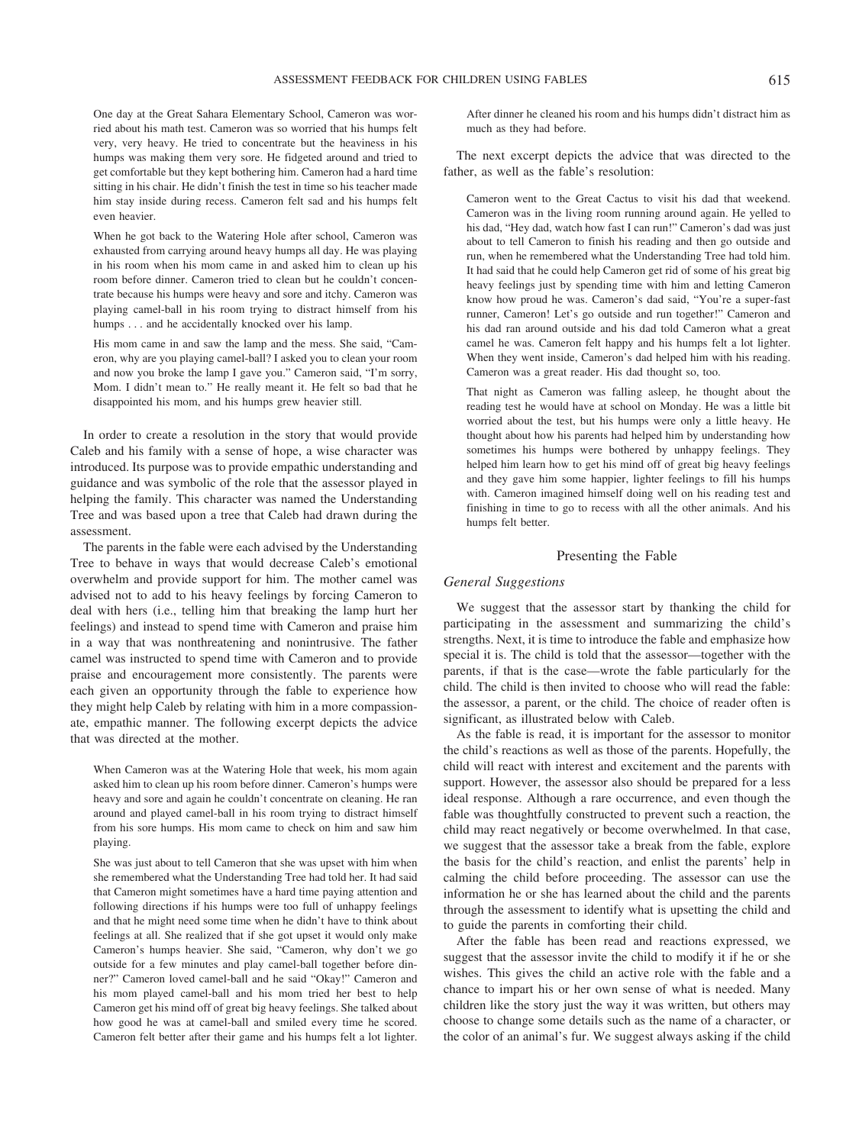One day at the Great Sahara Elementary School, Cameron was worried about his math test. Cameron was so worried that his humps felt very, very heavy. He tried to concentrate but the heaviness in his humps was making them very sore. He fidgeted around and tried to get comfortable but they kept bothering him. Cameron had a hard time sitting in his chair. He didn't finish the test in time so his teacher made him stay inside during recess. Cameron felt sad and his humps felt even heavier.

When he got back to the Watering Hole after school, Cameron was exhausted from carrying around heavy humps all day. He was playing in his room when his mom came in and asked him to clean up his room before dinner. Cameron tried to clean but he couldn't concentrate because his humps were heavy and sore and itchy. Cameron was playing camel-ball in his room trying to distract himself from his humps . . . and he accidentally knocked over his lamp.

His mom came in and saw the lamp and the mess. She said, "Cameron, why are you playing camel-ball? I asked you to clean your room and now you broke the lamp I gave you." Cameron said, "I'm sorry, Mom. I didn't mean to." He really meant it. He felt so bad that he disappointed his mom, and his humps grew heavier still.

In order to create a resolution in the story that would provide Caleb and his family with a sense of hope, a wise character was introduced. Its purpose was to provide empathic understanding and guidance and was symbolic of the role that the assessor played in helping the family. This character was named the Understanding Tree and was based upon a tree that Caleb had drawn during the assessment.

The parents in the fable were each advised by the Understanding Tree to behave in ways that would decrease Caleb's emotional overwhelm and provide support for him. The mother camel was advised not to add to his heavy feelings by forcing Cameron to deal with hers (i.e., telling him that breaking the lamp hurt her feelings) and instead to spend time with Cameron and praise him in a way that was nonthreatening and nonintrusive. The father camel was instructed to spend time with Cameron and to provide praise and encouragement more consistently. The parents were each given an opportunity through the fable to experience how they might help Caleb by relating with him in a more compassionate, empathic manner. The following excerpt depicts the advice that was directed at the mother.

When Cameron was at the Watering Hole that week, his mom again asked him to clean up his room before dinner. Cameron's humps were heavy and sore and again he couldn't concentrate on cleaning. He ran around and played camel-ball in his room trying to distract himself from his sore humps. His mom came to check on him and saw him playing.

She was just about to tell Cameron that she was upset with him when she remembered what the Understanding Tree had told her. It had said that Cameron might sometimes have a hard time paying attention and following directions if his humps were too full of unhappy feelings and that he might need some time when he didn't have to think about feelings at all. She realized that if she got upset it would only make Cameron's humps heavier. She said, "Cameron, why don't we go outside for a few minutes and play camel-ball together before dinner?" Cameron loved camel-ball and he said "Okay!" Cameron and his mom played camel-ball and his mom tried her best to help Cameron get his mind off of great big heavy feelings. She talked about how good he was at camel-ball and smiled every time he scored. Cameron felt better after their game and his humps felt a lot lighter.

After dinner he cleaned his room and his humps didn't distract him as much as they had before.

The next excerpt depicts the advice that was directed to the father, as well as the fable's resolution:

Cameron went to the Great Cactus to visit his dad that weekend. Cameron was in the living room running around again. He yelled to his dad, "Hey dad, watch how fast I can run!" Cameron's dad was just about to tell Cameron to finish his reading and then go outside and run, when he remembered what the Understanding Tree had told him. It had said that he could help Cameron get rid of some of his great big heavy feelings just by spending time with him and letting Cameron know how proud he was. Cameron's dad said, "You're a super-fast runner, Cameron! Let's go outside and run together!" Cameron and his dad ran around outside and his dad told Cameron what a great camel he was. Cameron felt happy and his humps felt a lot lighter. When they went inside, Cameron's dad helped him with his reading. Cameron was a great reader. His dad thought so, too.

That night as Cameron was falling asleep, he thought about the reading test he would have at school on Monday. He was a little bit worried about the test, but his humps were only a little heavy. He thought about how his parents had helped him by understanding how sometimes his humps were bothered by unhappy feelings. They helped him learn how to get his mind off of great big heavy feelings and they gave him some happier, lighter feelings to fill his humps with. Cameron imagined himself doing well on his reading test and finishing in time to go to recess with all the other animals. And his humps felt better.

#### Presenting the Fable

#### *General Suggestions*

We suggest that the assessor start by thanking the child for participating in the assessment and summarizing the child's strengths. Next, it is time to introduce the fable and emphasize how special it is. The child is told that the assessor—together with the parents, if that is the case—wrote the fable particularly for the child. The child is then invited to choose who will read the fable: the assessor, a parent, or the child. The choice of reader often is significant, as illustrated below with Caleb.

As the fable is read, it is important for the assessor to monitor the child's reactions as well as those of the parents. Hopefully, the child will react with interest and excitement and the parents with support. However, the assessor also should be prepared for a less ideal response. Although a rare occurrence, and even though the fable was thoughtfully constructed to prevent such a reaction, the child may react negatively or become overwhelmed. In that case, we suggest that the assessor take a break from the fable, explore the basis for the child's reaction, and enlist the parents' help in calming the child before proceeding. The assessor can use the information he or she has learned about the child and the parents through the assessment to identify what is upsetting the child and to guide the parents in comforting their child.

After the fable has been read and reactions expressed, we suggest that the assessor invite the child to modify it if he or she wishes. This gives the child an active role with the fable and a chance to impart his or her own sense of what is needed. Many children like the story just the way it was written, but others may choose to change some details such as the name of a character, or the color of an animal's fur. We suggest always asking if the child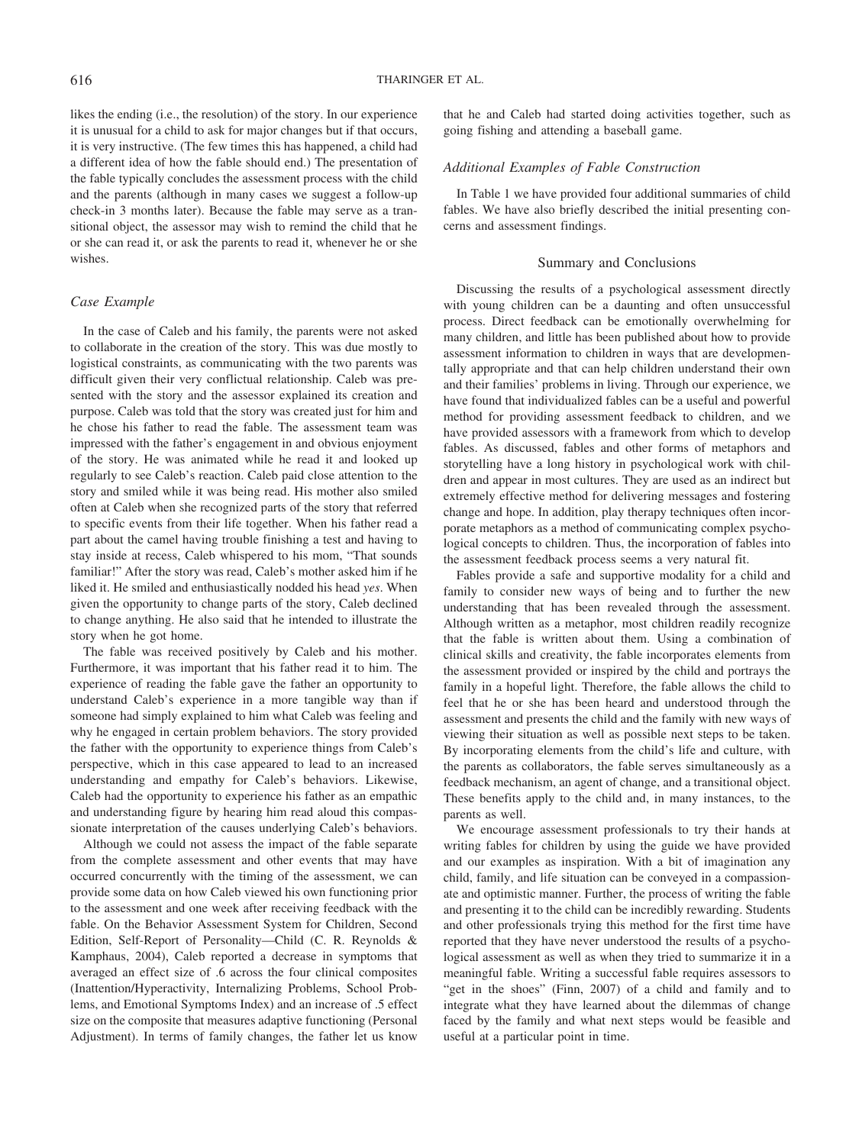likes the ending (i.e., the resolution) of the story. In our experience it is unusual for a child to ask for major changes but if that occurs, it is very instructive. (The few times this has happened, a child had a different idea of how the fable should end.) The presentation of the fable typically concludes the assessment process with the child and the parents (although in many cases we suggest a follow-up check-in 3 months later). Because the fable may serve as a transitional object, the assessor may wish to remind the child that he or she can read it, or ask the parents to read it, whenever he or she wishes.

#### *Case Example*

In the case of Caleb and his family, the parents were not asked to collaborate in the creation of the story. This was due mostly to logistical constraints, as communicating with the two parents was difficult given their very conflictual relationship. Caleb was presented with the story and the assessor explained its creation and purpose. Caleb was told that the story was created just for him and he chose his father to read the fable. The assessment team was impressed with the father's engagement in and obvious enjoyment of the story. He was animated while he read it and looked up regularly to see Caleb's reaction. Caleb paid close attention to the story and smiled while it was being read. His mother also smiled often at Caleb when she recognized parts of the story that referred to specific events from their life together. When his father read a part about the camel having trouble finishing a test and having to stay inside at recess, Caleb whispered to his mom, "That sounds familiar!" After the story was read, Caleb's mother asked him if he liked it. He smiled and enthusiastically nodded his head *yes*. When given the opportunity to change parts of the story, Caleb declined to change anything. He also said that he intended to illustrate the story when he got home.

The fable was received positively by Caleb and his mother. Furthermore, it was important that his father read it to him. The experience of reading the fable gave the father an opportunity to understand Caleb's experience in a more tangible way than if someone had simply explained to him what Caleb was feeling and why he engaged in certain problem behaviors. The story provided the father with the opportunity to experience things from Caleb's perspective, which in this case appeared to lead to an increased understanding and empathy for Caleb's behaviors. Likewise, Caleb had the opportunity to experience his father as an empathic and understanding figure by hearing him read aloud this compassionate interpretation of the causes underlying Caleb's behaviors.

Although we could not assess the impact of the fable separate from the complete assessment and other events that may have occurred concurrently with the timing of the assessment, we can provide some data on how Caleb viewed his own functioning prior to the assessment and one week after receiving feedback with the fable. On the Behavior Assessment System for Children, Second Edition, Self-Report of Personality—Child (C. R. Reynolds & Kamphaus, 2004), Caleb reported a decrease in symptoms that averaged an effect size of .6 across the four clinical composites (Inattention/Hyperactivity, Internalizing Problems, School Problems, and Emotional Symptoms Index) and an increase of .5 effect size on the composite that measures adaptive functioning (Personal Adjustment). In terms of family changes, the father let us know that he and Caleb had started doing activities together, such as going fishing and attending a baseball game.

#### *Additional Examples of Fable Construction*

In Table 1 we have provided four additional summaries of child fables. We have also briefly described the initial presenting concerns and assessment findings.

#### Summary and Conclusions

Discussing the results of a psychological assessment directly with young children can be a daunting and often unsuccessful process. Direct feedback can be emotionally overwhelming for many children, and little has been published about how to provide assessment information to children in ways that are developmentally appropriate and that can help children understand their own and their families' problems in living. Through our experience, we have found that individualized fables can be a useful and powerful method for providing assessment feedback to children, and we have provided assessors with a framework from which to develop fables. As discussed, fables and other forms of metaphors and storytelling have a long history in psychological work with children and appear in most cultures. They are used as an indirect but extremely effective method for delivering messages and fostering change and hope. In addition, play therapy techniques often incorporate metaphors as a method of communicating complex psychological concepts to children. Thus, the incorporation of fables into the assessment feedback process seems a very natural fit.

Fables provide a safe and supportive modality for a child and family to consider new ways of being and to further the new understanding that has been revealed through the assessment. Although written as a metaphor, most children readily recognize that the fable is written about them. Using a combination of clinical skills and creativity, the fable incorporates elements from the assessment provided or inspired by the child and portrays the family in a hopeful light. Therefore, the fable allows the child to feel that he or she has been heard and understood through the assessment and presents the child and the family with new ways of viewing their situation as well as possible next steps to be taken. By incorporating elements from the child's life and culture, with the parents as collaborators, the fable serves simultaneously as a feedback mechanism, an agent of change, and a transitional object. These benefits apply to the child and, in many instances, to the parents as well.

We encourage assessment professionals to try their hands at writing fables for children by using the guide we have provided and our examples as inspiration. With a bit of imagination any child, family, and life situation can be conveyed in a compassionate and optimistic manner. Further, the process of writing the fable and presenting it to the child can be incredibly rewarding. Students and other professionals trying this method for the first time have reported that they have never understood the results of a psychological assessment as well as when they tried to summarize it in a meaningful fable. Writing a successful fable requires assessors to "get in the shoes" (Finn, 2007) of a child and family and to integrate what they have learned about the dilemmas of change faced by the family and what next steps would be feasible and useful at a particular point in time.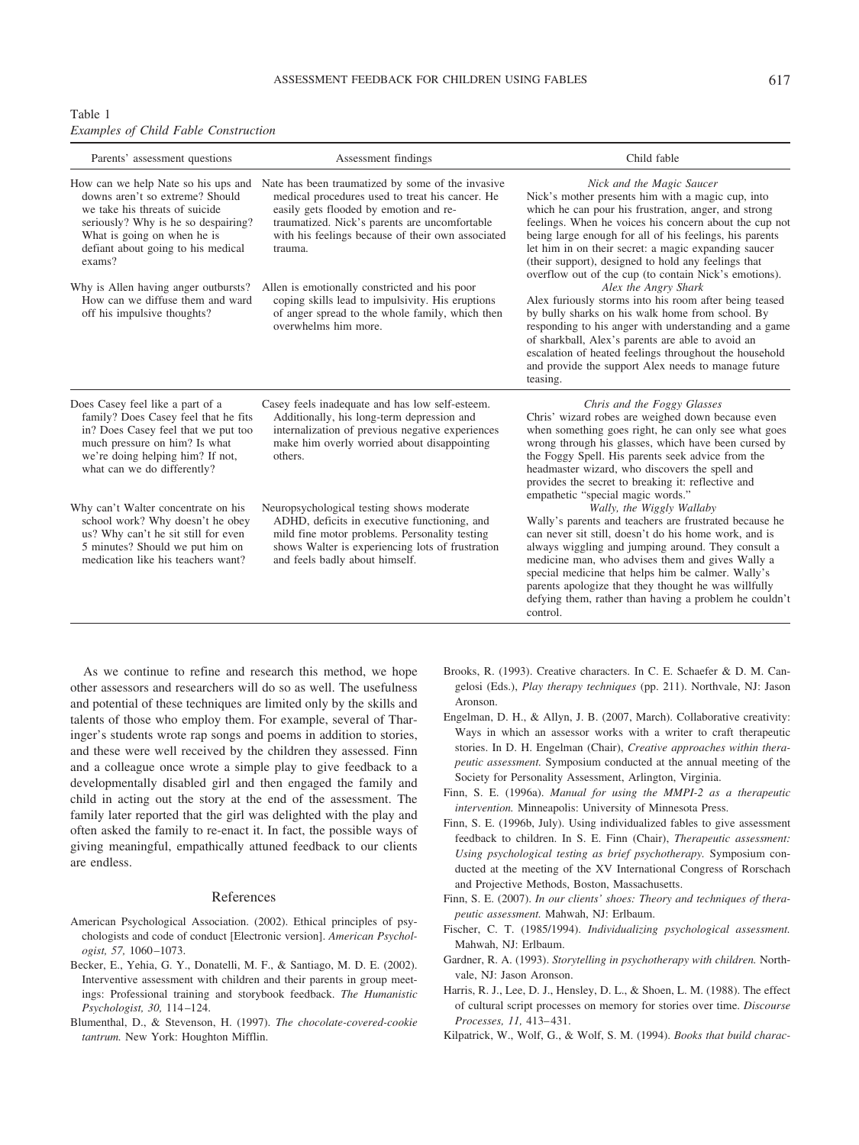| Table 1 |  |                                             |
|---------|--|---------------------------------------------|
|         |  | <b>Examples of Child Fable Construction</b> |

| Parents' assessment questions                                                                                                                                                                                                  | Assessment findings                                                                                                                                                                                                                                             | Child fable                                                                                                                                                                                                                                                                                                                                                                                                                                |
|--------------------------------------------------------------------------------------------------------------------------------------------------------------------------------------------------------------------------------|-----------------------------------------------------------------------------------------------------------------------------------------------------------------------------------------------------------------------------------------------------------------|--------------------------------------------------------------------------------------------------------------------------------------------------------------------------------------------------------------------------------------------------------------------------------------------------------------------------------------------------------------------------------------------------------------------------------------------|
| How can we help Nate so his ups and<br>downs aren't so extreme? Should<br>we take his threats of suicide<br>seriously? Why is he so despairing?<br>What is going on when he is<br>defiant about going to his medical<br>exams? | Nate has been traumatized by some of the invasive<br>medical procedures used to treat his cancer. He<br>easily gets flooded by emotion and re-<br>traumatized. Nick's parents are uncomfortable<br>with his feelings because of their own associated<br>trauma. | Nick and the Magic Saucer<br>Nick's mother presents him with a magic cup, into<br>which he can pour his frustration, anger, and strong<br>feelings. When he voices his concern about the cup not<br>being large enough for all of his feelings, his parents<br>let him in on their secret: a magic expanding saucer<br>(their support), designed to hold any feelings that<br>overflow out of the cup (to contain Nick's emotions).        |
| Why is Allen having anger outbursts?<br>How can we diffuse them and ward<br>off his impulsive thoughts?                                                                                                                        | Allen is emotionally constricted and his poor<br>coping skills lead to impulsivity. His eruptions<br>of anger spread to the whole family, which then<br>overwhelms him more.                                                                                    | Alex the Angry Shark<br>Alex furiously storms into his room after being teased<br>by bully sharks on his walk home from school. By<br>responding to his anger with understanding and a game<br>of sharkball, Alex's parents are able to avoid an<br>escalation of heated feelings throughout the household<br>and provide the support Alex needs to manage future<br>teasing.                                                              |
| Does Casey feel like a part of a<br>family? Does Casey feel that he fits<br>in? Does Casey feel that we put too<br>much pressure on him? Is what<br>we're doing helping him? If not,<br>what can we do differently?            | Casey feels inadequate and has low self-esteem.<br>Additionally, his long-term depression and<br>internalization of previous negative experiences<br>make him overly worried about disappointing<br>others.                                                     | Chris and the Foggy Glasses<br>Chris' wizard robes are weighed down because even<br>when something goes right, he can only see what goes<br>wrong through his glasses, which have been cursed by<br>the Foggy Spell. His parents seek advice from the<br>headmaster wizard, who discovers the spell and<br>provides the secret to breaking it: reflective and<br>empathetic "special magic words."                                         |
| Why can't Walter concentrate on his<br>school work? Why doesn't he obey<br>us? Why can't he sit still for even<br>5 minutes? Should we put him on<br>medication like his teachers want?                                        | Neuropsychological testing shows moderate<br>ADHD, deficits in executive functioning, and<br>mild fine motor problems. Personality testing<br>shows Walter is experiencing lots of frustration<br>and feels badly about himself.                                | Wally, the Wiggly Wallaby<br>Wally's parents and teachers are frustrated because he<br>can never sit still, doesn't do his home work, and is<br>always wiggling and jumping around. They consult a<br>medicine man, who advises them and gives Wally a<br>special medicine that helps him be calmer. Wally's<br>parents apologize that they thought he was willfully<br>defying them, rather than having a problem he couldn't<br>control. |

As we continue to refine and research this method, we hope other assessors and researchers will do so as well. The usefulness and potential of these techniques are limited only by the skills and talents of those who employ them. For example, several of Tharinger's students wrote rap songs and poems in addition to stories, and these were well received by the children they assessed. Finn and a colleague once wrote a simple play to give feedback to a developmentally disabled girl and then engaged the family and child in acting out the story at the end of the assessment. The family later reported that the girl was delighted with the play and often asked the family to re-enact it. In fact, the possible ways of giving meaningful, empathically attuned feedback to our clients are endless.

#### References

- American Psychological Association. (2002). Ethical principles of psychologists and code of conduct [Electronic version]. *American Psychologist, 57,* 1060 –1073.
- Becker, E., Yehia, G. Y., Donatelli, M. F., & Santiago, M. D. E. (2002). Interventive assessment with children and their parents in group meetings: Professional training and storybook feedback. *The Humanistic Psychologist, 30,* 114 –124.
- Blumenthal, D., & Stevenson, H. (1997). *The chocolate-covered-cookie tantrum.* New York: Houghton Mifflin.
- Brooks, R. (1993). Creative characters. In C. E. Schaefer & D. M. Cangelosi (Eds.), *Play therapy techniques* (pp. 211). Northvale, NJ: Jason Aronson.
- Engelman, D. H., & Allyn, J. B. (2007, March). Collaborative creativity: Ways in which an assessor works with a writer to craft therapeutic stories. In D. H. Engelman (Chair), *Creative approaches within therapeutic assessment.* Symposium conducted at the annual meeting of the Society for Personality Assessment, Arlington, Virginia.
- Finn, S. E. (1996a). *Manual for using the MMPI-2 as a therapeutic intervention.* Minneapolis: University of Minnesota Press.
- Finn, S. E. (1996b, July). Using individualized fables to give assessment feedback to children. In S. E. Finn (Chair), *Therapeutic assessment: Using psychological testing as brief psychotherapy.* Symposium conducted at the meeting of the XV International Congress of Rorschach and Projective Methods, Boston, Massachusetts.
- Finn, S. E. (2007). *In our clients' shoes: Theory and techniques of therapeutic assessment.* Mahwah, NJ: Erlbaum.
- Fischer, C. T. (1985/1994). *Individualizing psychological assessment.* Mahwah, NJ: Erlbaum.
- Gardner, R. A. (1993). *Storytelling in psychotherapy with children.* Northvale, NJ: Jason Aronson.
- Harris, R. J., Lee, D. J., Hensley, D. L., & Shoen, L. M. (1988). The effect of cultural script processes on memory for stories over time. *Discourse Processes, 11,* 413– 431.
- Kilpatrick, W., Wolf, G., & Wolf, S. M. (1994). *Books that build charac-*